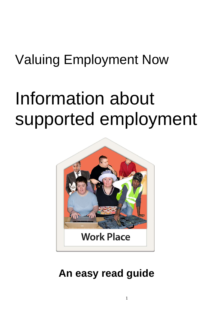## Valuing Employment Now

# Information about supported employment



### **An easy read guide**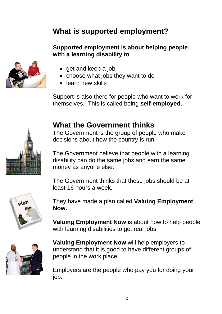#### **What is supported employment?**

#### **Supported employment is about helping people with a learning disability to**



- get and keep a job
- choose what jobs they want to do
- learn new skills

Support is also there for people who want to work for themselves. This is called being **self-employed.** 

#### **What the Government thinks**

The Government is the group of people who make decisions about how the country is run.

The Government believe that people with a learning disability can do the same jobs and earn the same money as anyone else.

The Government thinks that these jobs should be at least 16 hours a week.



They have made a plan called **Valuing Employment Now.** 

**Valuing Employment Now** is about how to help people with learning disabilities to get real jobs.



**Valuing Employment Now** will help employers to understand that it is good to have different groups of people in the work place.

Employers are the people who pay you for doing your job.

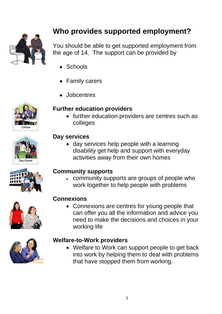

#### **Who provides supported employment?**

You should be able to get supported employment from the age of 14. The support can be provided by

- Schools
- Family carers
- Jobcentres

# College

#### **Further education providers**

• further education providers are centres such as colleges



#### **Day services**

 day services help people with a learning disability get help and support with everyday activities away from their own homes

#### **Community supports**

 community supports are groups of people who work together to help people with problems



#### **Connexions**

• Connexions are centres for young people that can offer you all the information and advice you need to make the decisions and choices in your working life



#### **Welfare-to-Work providers**

 Welfare to Work can support people to get back into work by helping them to deal with problems that have stopped them from working.